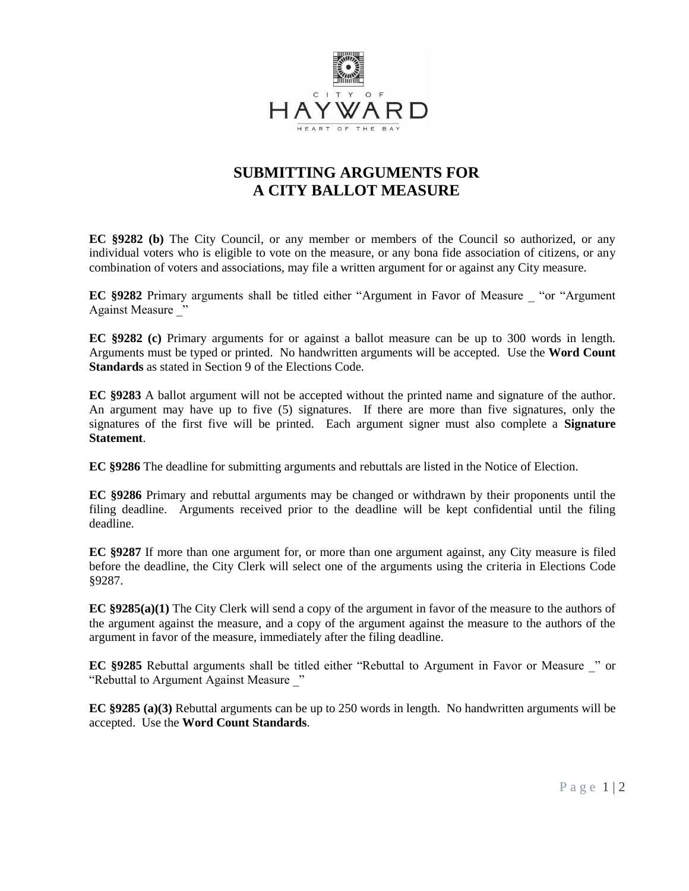

## **SUBMITTING ARGUMENTS FOR A CITY BALLOT MEASURE**

**EC §9282 (b)** The City Council, or any member or members of the Council so authorized, or any individual voters who is eligible to vote on the measure, or any bona fide association of citizens, or any combination of voters and associations, may file a written argument for or against any City measure.

**EC §9282** Primary arguments shall be titled either "Argument in Favor of Measure \_ "or "Argument Against Measure "

**EC §9282 (c)** Primary arguments for or against a ballot measure can be up to 300 words in length. Arguments must be typed or printed. No handwritten arguments will be accepted. Use the **Word Count Standards** as stated in Section 9 of the Elections Code.

**EC §9283** A ballot argument will not be accepted without the printed name and signature of the author. An argument may have up to five (5) signatures. If there are more than five signatures, only the signatures of the first five will be printed. Each argument signer must also complete a **Signature Statement**.

**EC §9286** The deadline for submitting arguments and rebuttals are listed in the Notice of Election.

**EC §9286** Primary and rebuttal arguments may be changed or withdrawn by their proponents until the filing deadline. Arguments received prior to the deadline will be kept confidential until the filing deadline.

**EC §9287** If more than one argument for, or more than one argument against, any City measure is filed before the deadline, the City Clerk will select one of the arguments using the criteria in Elections Code §9287.

**EC §9285(a)(1)** The City Clerk will send a copy of the argument in favor of the measure to the authors of the argument against the measure, and a copy of the argument against the measure to the authors of the argument in favor of the measure, immediately after the filing deadline.

**EC §9285** Rebuttal arguments shall be titled either "Rebuttal to Argument in Favor or Measure \_" or "Rebuttal to Argument Against Measure "

**EC §9285 (a)(3)** Rebuttal arguments can be up to 250 words in length. No handwritten arguments will be accepted. Use the **Word Count Standards**.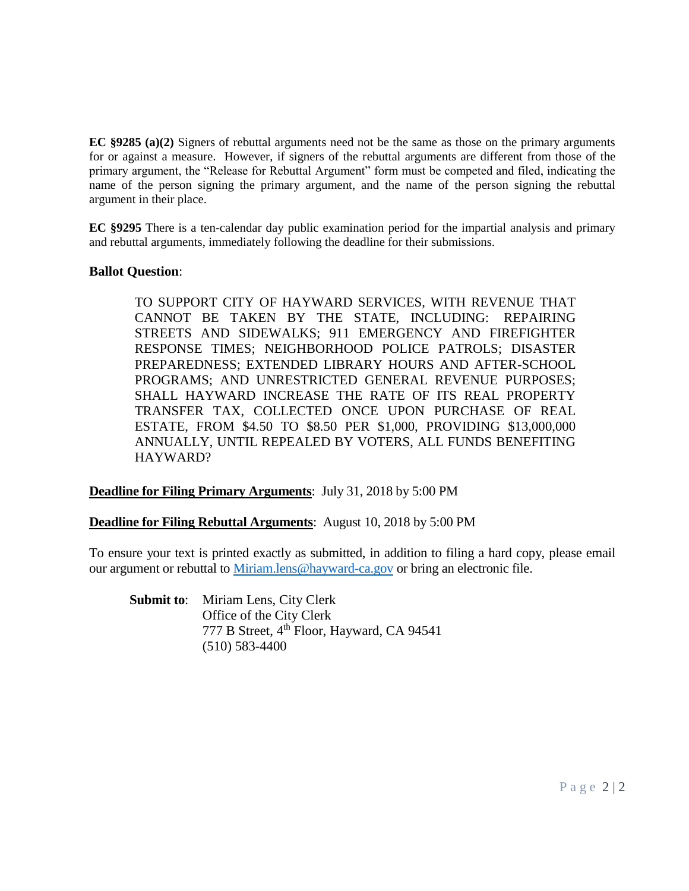**EC §9285 (a)(2)** Signers of rebuttal arguments need not be the same as those on the primary arguments for or against a measure. However, if signers of the rebuttal arguments are different from those of the primary argument, the "Release for Rebuttal Argument" form must be competed and filed, indicating the name of the person signing the primary argument, and the name of the person signing the rebuttal argument in their place.

**EC §9295** There is a ten-calendar day public examination period for the impartial analysis and primary and rebuttal arguments, immediately following the deadline for their submissions.

### **Ballot Question**:

TO SUPPORT CITY OF HAYWARD SERVICES, WITH REVENUE THAT CANNOT BE TAKEN BY THE STATE, INCLUDING: REPAIRING STREETS AND SIDEWALKS; 911 EMERGENCY AND FIREFIGHTER RESPONSE TIMES; NEIGHBORHOOD POLICE PATROLS; DISASTER PREPAREDNESS; EXTENDED LIBRARY HOURS AND AFTER-SCHOOL PROGRAMS; AND UNRESTRICTED GENERAL REVENUE PURPOSES; SHALL HAYWARD INCREASE THE RATE OF ITS REAL PROPERTY TRANSFER TAX, COLLECTED ONCE UPON PURCHASE OF REAL ESTATE, FROM \$4.50 TO \$8.50 PER \$1,000, PROVIDING \$13,000,000 ANNUALLY, UNTIL REPEALED BY VOTERS, ALL FUNDS BENEFITING HAYWARD?

**Deadline for Filing Primary Arguments**: July 31, 2018 by 5:00 PM

**Deadline for Filing Rebuttal Arguments**: August 10, 2018 by 5:00 PM

To ensure your text is printed exactly as submitted, in addition to filing a hard copy, please email our argument or rebuttal to [Miriam.lens@hayward-ca.gov](mailto:Miriam.lens@hayward-ca.gov) or bring an electronic file.

**Submit to**: Miriam Lens, City Clerk Office of the City Clerk 777 B Street, 4<sup>th</sup> Floor, Hayward, CA 94541 (510) 583-4400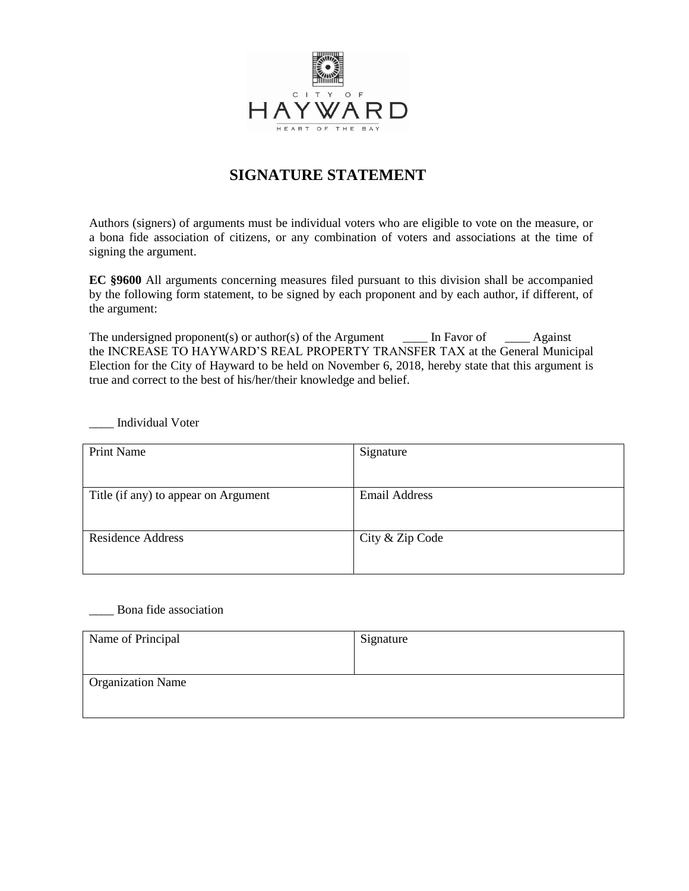

# **SIGNATURE STATEMENT**

Authors (signers) of arguments must be individual voters who are eligible to vote on the measure, or a bona fide association of citizens, or any combination of voters and associations at the time of signing the argument.

**EC §9600** All arguments concerning measures filed pursuant to this division shall be accompanied by the following form statement, to be signed by each proponent and by each author, if different, of the argument:

The undersigned proponent(s) or author(s) of the Argument  $\qquad \qquad$  In Favor of  $\qquad \qquad$  Against the INCREASE TO HAYWARD'S REAL PROPERTY TRANSFER TAX at the General Municipal Election for the City of Hayward to be held on November 6, 2018, hereby state that this argument is true and correct to the best of his/her/their knowledge and belief.

\_\_\_\_ Individual Voter

| <b>Print Name</b>                    | Signature            |
|--------------------------------------|----------------------|
|                                      |                      |
| Title (if any) to appear on Argument | <b>Email Address</b> |
|                                      |                      |
| <b>Residence Address</b>             | City & Zip Code      |
|                                      |                      |

#### \_\_\_\_ Bona fide association

| Name of Principal        | Signature |
|--------------------------|-----------|
|                          |           |
|                          |           |
| <b>Organization Name</b> |           |
|                          |           |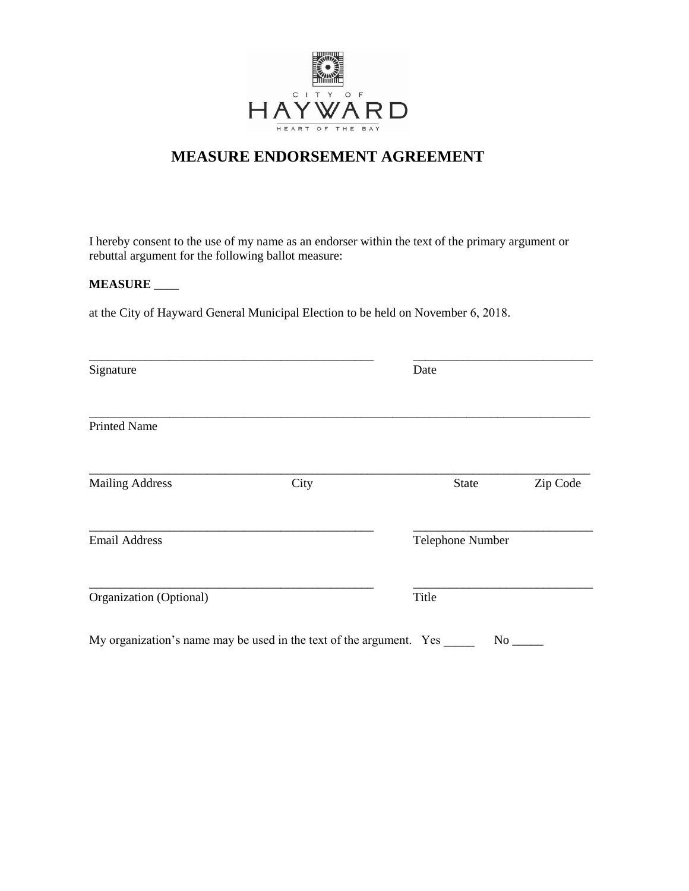

# **MEASURE ENDORSEMENT AGREEMENT**

I hereby consent to the use of my name as an endorser within the text of the primary argument or rebuttal argument for the following ballot measure:

### **MEASURE** \_\_\_\_

at the City of Hayward General Municipal Election to be held on November 6, 2018.

|      | Date             |          |
|------|------------------|----------|
|      |                  |          |
| City | State            | Zip Code |
|      | Telephone Number |          |
|      | Title            |          |
|      |                  |          |